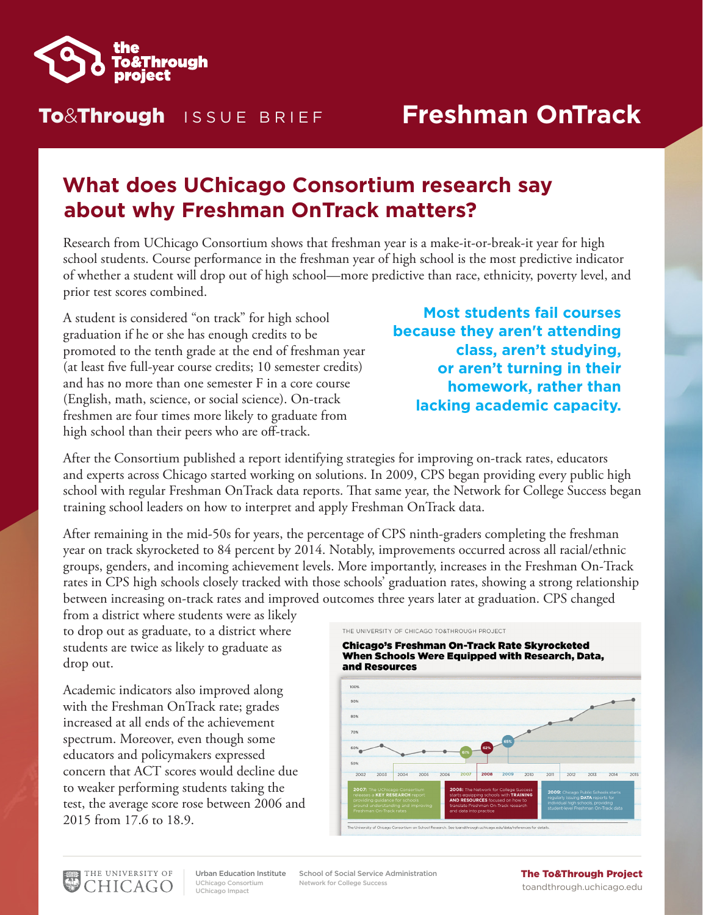

### To&Through ISSUE BRIEF

# **Freshman OnTrack**

## **What does UChicago Consortium research say about why Freshman OnTrack matters?**

Research from UChicago Consortium shows that freshman year is a make-it-or-break-it year for high school students. Course performance in the freshman year of high school is the most predictive indicator of whether a student will drop out of high school—more predictive than race, ethnicity, poverty level, and prior test scores combined.

A student is considered "on track" for high school graduation if he or she has enough credits to be promoted to the tenth grade at the end of freshman year (at least five full-year course credits; 10 semester credits) and has no more than one semester F in a core course (English, math, science, or social science). On-track freshmen are four times more likely to graduate from high school than their peers who are off-track.

#### **Most students fail courses because they aren't attending class, aren't studying, or aren't turning in their homework, rather than lacking academic capacity.**

After the Consortium published a report identifying strategies for improving on-track rates, educators and experts across Chicago started working on solutions. In 2009, CPS began providing every public high school with regular Freshman OnTrack data reports. That same year, the Network for College Success began training school leaders on how to interpret and apply Freshman OnTrack data.

After remaining in the mid-50s for years, the percentage of CPS ninth-graders completing the freshman year on track skyrocketed to 84 percent by 2014. Notably, improvements occurred across all racial/ethnic groups, genders, and incoming achievement levels. More importantly, increases in the Freshman On-Track rates in CPS high schools closely tracked with those schools' graduation rates, showing a strong relationship between increasing on-track rates and improved outcomes three years later at graduation. CPS changed

from a district where students were as likely to drop out as graduate, to a district where students are twice as likely to graduate as drop out.

Academic indicators also improved along with the Freshman OnTrack rate; grades increased at all ends of the achievement spectrum. Moreover, even though some educators and policymakers expressed concern that ACT scores would decline due to weaker performing students taking the test, the average score rose between 2006 and 2015 from 17.6 to 18.9.



**Chicago's Freshman On-Track Rate Skyrocketed** When Schools Were Equipped with Research, Data, and Resources





UChicago Consortium UChicago Impact Urban Education Institute

Network for College Success School of Social Service Administration **The To&Through Project** 

# toandthrough.uchicago.edu